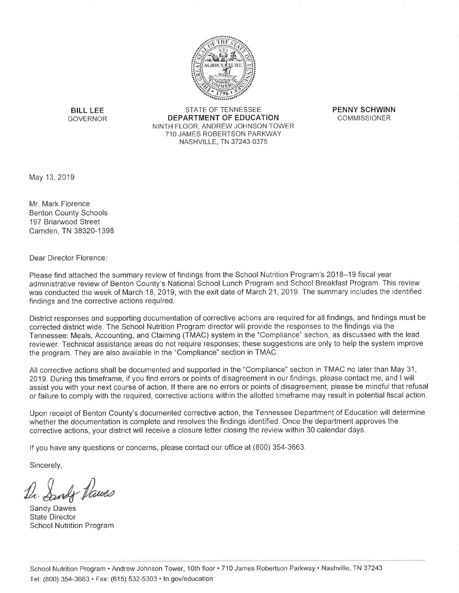

**BILL LEE GOVERNOR** 

**STATE OF TENNESSEE** DEPARTMENT OF EDUCATION NINTH FLOOR, ANDREW JOHNSON TOWER 710 JAMES ROBERTSON PARKWAY NASHVILLE, TN 37243-0375

**PENNY SCHWINN COMMISSIONER** 

May 13, 2019

Mr. Mark Florence **Benton County Schools** 197 Briarwood Street Camden, TN 38320-1398

Dear Director Florence:

Please find attached the summary review of findings from the School Nutrition Program's 2018–19 fiscal year administrative review of Benton County's National School Lunch Program and School Breakfast Program. This review was conducted the week of March 18, 2019, with the exit date of March 21, 2019. The summary includes the identified findings and the corrective actions required.

District responses and supporting documentation of corrective actions are required for all findings, and findings must be corrected district wide. The School Nutrition Program director will provide the responses to the findings via the Tennessee: Meals, Accounting, and Claiming (TMAC) system in the "Compliance" section, as discussed with the lead reviewer. Technical assistance areas do not require responses; these suggestions are only to help the system improve the program. They are also available in the "Compliance" section in TMAC.

All corrective actions shall be documented and supported in the "Compliance" section in TMAC no later than May 31, 2019. During this timeframe, if you find errors or points of disagreement in our findings, please contact me, and I will assist you with your next course of action. If there are no errors or points of disagreement, please be mindful that refusal or failure to comply with the required, corrective actions within the allotted timeframe may result in potential fiscal action.

Upon receipt of Benton County's documented corrective action, the Tennessee Department of Education will determine whether the documentation is complete and resolves the findings identified. Once the department approves the corrective actions, your district will receive a closure letter closing the review within 30 calendar days.

If you have any questions or concerns, please contact our office at (800) 354-3663.

Sincerely,

wh Dawes

Sandy Dawes State Director **School Nutrition Program**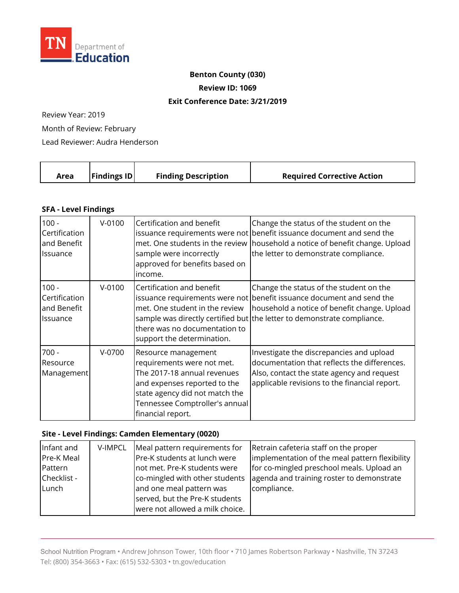

### **Benton County (030)**

**Review ID: 1069** 

#### **Exit Conference Date: 3/21/2019**

Review Year: 2019

Month of Review: February

Lead Reviewer: Audra Henderson

| <b>Findings ID</b><br><b>Finding Description</b><br><b>Required Corrective Action</b><br>Area |
|-----------------------------------------------------------------------------------------------|
|-----------------------------------------------------------------------------------------------|

### **SFA - Level Findings**

| $100 -$                           | $V-0100$ | Certification and benefit                                                                                                                                                                                 | Change the status of the student on the                                                                                                                                                 |
|-----------------------------------|----------|-----------------------------------------------------------------------------------------------------------------------------------------------------------------------------------------------------------|-----------------------------------------------------------------------------------------------------------------------------------------------------------------------------------------|
| Certification                     |          | sample were incorrectly                                                                                                                                                                                   | issuance requirements were not benefit issuance document and send the                                                                                                                   |
| and Benefit                       |          | approved for benefits based on                                                                                                                                                                            | met. One students in the review   household a notice of benefit change. Upload                                                                                                          |
| Issuance                          |          | income.                                                                                                                                                                                                   | the letter to demonstrate compliance.                                                                                                                                                   |
| $100 -$                           | $V-0100$ | Certification and benefit                                                                                                                                                                                 | Change the status of the student on the                                                                                                                                                 |
| Certification                     |          | met. One student in the review                                                                                                                                                                            | issuance requirements were not benefit issuance document and send the                                                                                                                   |
| and Benefit                       |          | there was no documentation to                                                                                                                                                                             | household a notice of benefit change. Upload                                                                                                                                            |
| <b>Issuance</b>                   |          | support the determination.                                                                                                                                                                                | sample was directly certified but the letter to demonstrate compliance.                                                                                                                 |
| $700 -$<br>Resource<br>Management | V-0700   | Resource management<br>requirements were not met.<br>The 2017-18 annual revenues<br>and expenses reported to the<br>state agency did not match the<br>Tennessee Comptroller's annual<br>financial report. | Investigate the discrepancies and upload<br>documentation that reflects the differences.<br>Also, contact the state agency and request<br>applicable revisions to the financial report. |

## **Site - Level Findings: Camden Elementary (0020)**

| Infant and  | V-IMPCL | Meal pattern requirements for   | Retrain cafeteria staff on the proper          |
|-------------|---------|---------------------------------|------------------------------------------------|
| Pre-K Meal  |         | Pre-K students at lunch were    | implementation of the meal pattern flexibility |
| Pattern     |         | not met. Pre-K students were    | for co-mingled preschool meals. Upload an      |
| Checklist - |         | co-mingled with other students  | agenda and training roster to demonstrate      |
| Lunch       |         | and one meal pattern was        | compliance.                                    |
|             |         | served, but the Pre-K students  |                                                |
|             |         | were not allowed a milk choice. |                                                |